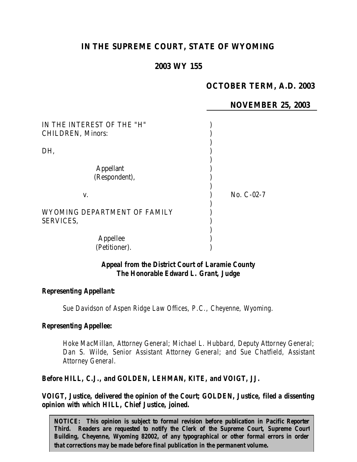# **IN THE SUPREME COURT, STATE OF WYOMING**

## **2003 WY 155**

# **OCTOBER TERM, A.D. 2003**

## **NOVEMBER 25, 2003**

| IN THE INTEREST OF THE "H"<br><b>CHILDREN, Minors:</b> |              |
|--------------------------------------------------------|--------------|
| DH,                                                    |              |
| <b>Appellant</b><br>(Respondent),                      |              |
| V.                                                     | No. $C-02-7$ |
| WYOMING DEPARTMENT OF FAMILY<br>SERVICES,              |              |
| Appellee<br>(Petitioner).                              |              |

#### *Appeal from the District Court of Laramie County The Honorable Edward L. Grant, Judge*

#### *Representing Appellant:*

*Sue Davidson of Aspen Ridge Law Offices, P.C., Cheyenne, Wyoming.*

#### *Representing Appellee:*

*Hoke MacMillan, Attorney General; Michael L. Hubbard, Deputy Attorney General; Dan S. Wilde, Senior Assistant Attorney General; and Sue Chatfield, Assistant Attorney General.*

#### *Before HILL, C.J., and GOLDEN, LEHMAN, KITE, and VOIGT, JJ.*

*VOIGT, Justice, delivered the opinion of the Court; GOLDEN, Justice, filed a dissenting opinion with which HILL, Chief Justice, joined.*

*NOTICE: This opinion is subject to formal revision before publication in Pacific Reporter Third. Readers are requested to notify the Clerk of the Supreme Court, Supreme Court Building, Cheyenne, Wyoming 82002, of any typographical or other formal errors in order that corrections may be made before final publication in the permanent volume.*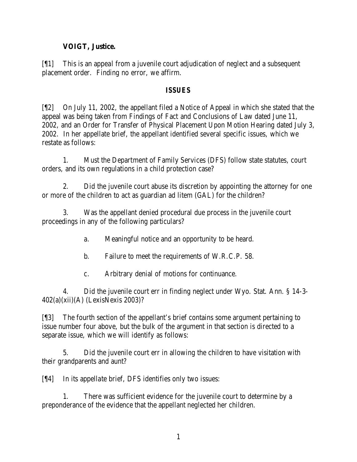## **VOIGT, Justice.**

[¶1] This is an appeal from a juvenile court adjudication of neglect and a subsequent placement order. Finding no error, we affirm.

### *ISSUES*

[¶2] On July 11, 2002, the appellant filed a Notice of Appeal in which she stated that the appeal was being taken from Findings of Fact and Conclusions of Law dated June 11, 2002, and an Order for Transfer of Physical Placement Upon Motion Hearing dated July 3, 2002. In her appellate brief, the appellant identified several specific issues, which we restate as follows:

1. Must the Department of Family Services (DFS) follow state statutes, court orders, and its own regulations in a child protection case?

2. Did the juvenile court abuse its discretion by appointing the attorney for one or more of the children to act as guardian ad litem (GAL) for the children?

3. Was the appellant denied procedural due process in the juvenile court proceedings in any of the following particulars?

- a. Meaningful notice and an opportunity to be heard.
- b. Failure to meet the requirements of W.R.C.P. 58.
- c. Arbitrary denial of motions for continuance.

4. Did the juvenile court err in finding neglect under Wyo. Stat. Ann. § 14-3- 402(a)(xii)(A) (LexisNexis 2003)?

[¶3] The fourth section of the appellant's brief contains some argument pertaining to issue number four above, but the bulk of the argument in that section is directed to a separate issue, which we will identify as follows:

5. Did the juvenile court err in allowing the children to have visitation with their grandparents and aunt?

[¶4] In its appellate brief, DFS identifies only two issues:

1. There was sufficient evidence for the juvenile court to determine by a preponderance of the evidence that the appellant neglected her children.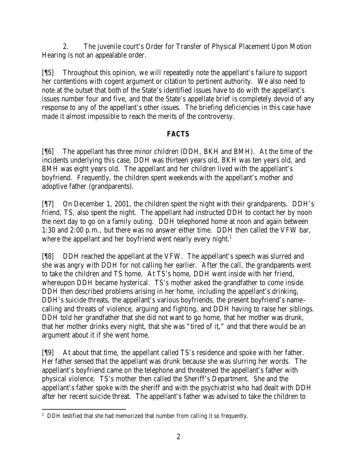2. The juvenile court's Order for Transfer of Physical Placement Upon Motion Hearing is not an appealable order.

[¶5] Throughout this opinion, we will repeatedly note the appellant's failure to support her contentions with cogent argument or citation to pertinent authority. We also need to note at the outset that both of the State's identified issues have to do with the appellant's issues number four and five, and that the State's appellate brief is completely devoid of any response to any of the appellant's other issues. The briefing deficiencies in this case have made it almost impossible to reach the merits of the controversy.

# *FACTS*

[¶6] The appellant has three minor children (DDH, BKH and BMH). At the time of the incidents underlying this case, DDH was thirteen years old, BKH was ten years old, and BMH was eight years old. The appellant and her children lived with the appellant's boyfriend. Frequently, the children spent weekends with the appellant's mother and adoptive father (grandparents).

[¶7] On December 1, 2001, the children spent the night with their grandparents. DDH's friend, TS, also spent the night. The appellant had instructed DDH to contact her by noon the next day to go on a family outing. DDH telephoned home at noon and again between 1:30 and 2:00 p.m., but there was no answer either time. DDH then called the VFW bar, where the appellant and her boyfriend went nearly every night.<sup>1</sup>

[¶8] DDH reached the appellant at the VFW. The appellant's speech was slurred and she was angry with DDH for not calling her earlier. After the call, the grandparents went to take the children and TS home. At TS's home, DDH went inside with her friend, whereupon DDH became hysterical. TS's mother asked the grandfather to come inside. DDH then described problems arising in her home, including the appellant's drinking, DDH's suicide threats, the appellant's various boyfriends, the present boyfriend's namecalling and threats of violence, arguing and fighting, and DDH having to raise her siblings. DDH told her grandfather that she did not want to go home, that her mother was drunk, that her mother drinks every night, that she was "tired of it," and that there would be an argument about it if she went home.

[¶9] At about that time, the appellant called TS's residence and spoke with her father. Her father sensed that the appellant was drunk because she was slurring her words. The appellant's boyfriend came on the telephone and threatened the appellant's father with physical violence. TS's mother then called the Sheriff's Department. She and the appellant's father spoke with the sheriff and with the psychiatrist who had dealt with DDH after her recent suicide threat. The appellant's father was advised to take the children to

 <sup>1</sup> DDH testified that she had memorized that number from calling it so frequently.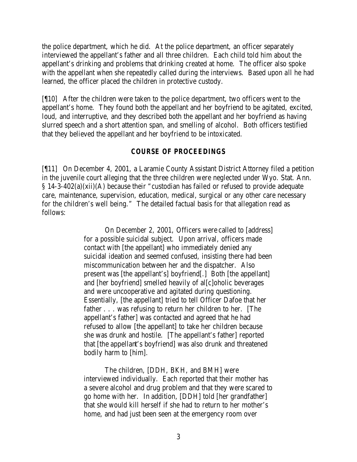the police department, which he did. At the police department, an officer separately interviewed the appellant's father and all three children. Each child told him about the appellant's drinking and problems that drinking created at home. The officer also spoke with the appellant when she repeatedly called during the interviews. Based upon all he had learned, the officer placed the children in protective custody.

[¶10] After the children were taken to the police department, two officers went to the appellant's home. They found both the appellant and her boyfriend to be agitated, excited, loud, and interruptive, and they described both the appellant and her boyfriend as having slurred speech and a short attention span, and smelling of alcohol. Both officers testified that they believed the appellant and her boyfriend to be intoxicated.

## *COURSE OF PROCEEDINGS*

[¶11] On December 4, 2001, a Laramie County Assistant District Attorney filed a petition in the juvenile court alleging that the three children were neglected under Wyo. Stat. Ann. § 14-3-402(a)(xii)(A) because their "custodian has failed or refused to provide adequate care, maintenance, supervision, education, medical, surgical or any other care necessary for the children's well being." The detailed factual basis for that allegation read as follows:

> On December 2, 2001, Officers were called to [address] for a possible suicidal subject. Upon arrival, officers made contact with [the appellant] who immediately denied any suicidal ideation and seemed confused, insisting there had been miscommunication between her and the dispatcher. Also present was [the appellant's] boyfriend[.] Both [the appellant] and [her boyfriend] smelled heavily of al[c]oholic beverages and were uncooperative and agitated during questioning. Essentially, [the appellant] tried to tell Officer Dafoe that her father . . . was refusing to return her children to her. [The appellant's father] was contacted and agreed that he had refused to allow [the appellant] to take her children because she was drunk and hostile. [The appellant's father] reported that [the appellant's boyfriend] was also drunk and threatened bodily harm to [him].

> The children, [DDH, BKH, and BMH] were interviewed individually. Each reported that their mother has a severe alcohol and drug problem and that they were scared to go home with her. In addition, [DDH] told [her grandfather] that she would kill herself if she had to return to her mother's home, and had just been seen at the emergency room over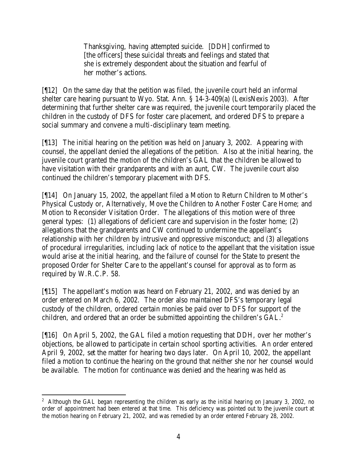Thanksgiving, having attempted suicide. [DDH] confirmed to [the officers] these suicidal threats and feelings and stated that she is extremely despondent about the situation and fearful of her mother's actions.

[¶12] On the same day that the petition was filed, the juvenile court held an informal shelter care hearing pursuant to Wyo. Stat. Ann. § 14-3-409(a) (LexisNexis 2003). After determining that further shelter care was required, the juvenile court temporarily placed the children in the custody of DFS for foster care placement, and ordered DFS to prepare a social summary and convene a multi-disciplinary team meeting.

[¶13] The initial hearing on the petition was held on January 3, 2002. Appearing with counsel, the appellant denied the allegations of the petition. Also at the initial hearing, the juvenile court granted the motion of the children's GAL that the children be allowed to have visitation with their grandparents and with an aunt, CW. The juvenile court also continued the children's temporary placement with DFS.

[¶14] On January 15, 2002, the appellant filed a Motion to Return Children to Mother's Physical Custody or, Alternatively, Move the Children to Another Foster Care Home; and Motion to Reconsider Visitation Order. The allegations of this motion were of three general types: (1) allegations of deficient care and supervision in the foster home; (2) allegations that the grandparents and CW continued to undermine the appellant's relationship with her children by intrusive and oppressive misconduct; and (3) allegations of procedural irregularities, including lack of notice to the appellant that the visitation issue would arise at the initial hearing, and the failure of counsel for the State to present the proposed Order for Shelter Care to the appellant's counsel for approval as to form as required by W.R.C.P. 58.

[¶15] The appellant's motion was heard on February 21, 2002, and was denied by an order entered on March 6, 2002. The order also maintained DFS's temporary legal custody of the children, ordered certain monies be paid over to DFS for support of the children, and ordered that an order be submitted appointing the children's GAL.<sup>2</sup>

[¶16] On April 5, 2002, the GAL filed a motion requesting that DDH, over her mother's objections, be allowed to participate in certain school sporting activities. An order entered April 9, 2002, set the matter for hearing two days later. On April 10, 2002, the appellant filed a motion to continue the hearing on the ground that neither she nor her counsel would be available. The motion for continuance was denied and the hearing was held as

<sup>&</sup>lt;sup>2</sup> Although the GAL began representing the children as early as the initial hearing on January 3, 2002, no order of appointment had been entered at that time. This deficiency was pointed out to the juvenile court at the motion hearing on February 21, 2002, and was remedied by an order entered February 28, 2002.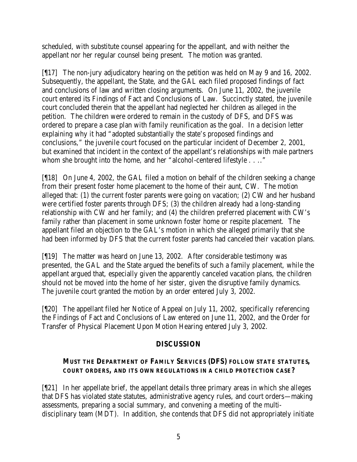scheduled, with substitute counsel appearing for the appellant, and with neither the appellant nor her regular counsel being present. The motion was granted.

[¶17] The non-jury adjudicatory hearing on the petition was held on May 9 and 16, 2002. Subsequently, the appellant, the State, and the GAL each filed proposed findings of fact and conclusions of law and written closing arguments. On June 11, 2002, the juvenile court entered its Findings of Fact and Conclusions of Law. Succinctly stated, the juvenile court concluded therein that the appellant had neglected her children as alleged in the petition. The children were ordered to remain in the custody of DFS, and DFS was ordered to prepare a case plan with family reunification as the goal. In a decision letter explaining why it had "adopted substantially the state's proposed findings and conclusions," the juvenile court focused on the particular incident of December 2, 2001, but examined that incident in the context of the appellant's relationships with male partners whom she brought into the home, and her "alcohol-centered lifestyle . . .."

[¶18] On June 4, 2002, the GAL filed a motion on behalf of the children seeking a change from their present foster home placement to the home of their aunt, CW. The motion alleged that: (1) the current foster parents were going on vacation; (2) CW and her husband were certified foster parents through DFS; (3) the children already had a long-standing relationship with CW and her family; and (4) the children preferred placement with CW's family rather than placement in some unknown foster home or respite placement. The appellant filed an objection to the GAL's motion in which she alleged primarily that she had been informed by DFS that the current foster parents had canceled their vacation plans.

[¶19] The matter was heard on June 13, 2002. After considerable testimony was presented, the GAL and the State argued the benefits of such a family placement, while the appellant argued that, especially given the apparently canceled vacation plans, the children should not be moved into the home of her sister, given the disruptive family dynamics. The juvenile court granted the motion by an order entered July 3, 2002.

[¶20] The appellant filed her Notice of Appeal on July 11, 2002, specifically referencing the Findings of Fact and Conclusions of Law entered on June 11, 2002, and the Order for Transfer of Physical Placement Upon Motion Hearing entered July 3, 2002.

# **DISCUSSION**

## **MUST THE DEPARTMENT OF FAMILY SERVICES (DFS) FOLLOW STATE STATUTES, COURT ORDERS, AND ITS OWN REGULATIONS IN A CHILD PROTECTION CASE?**

[¶21] In her appellate brief, the appellant details three primary areas in which she alleges that DFS has violated state statutes, administrative agency rules, and court orders—making assessments, preparing a social summary, and convening a meeting of the multidisciplinary team (MDT). In addition, she contends that DFS did not appropriately initiate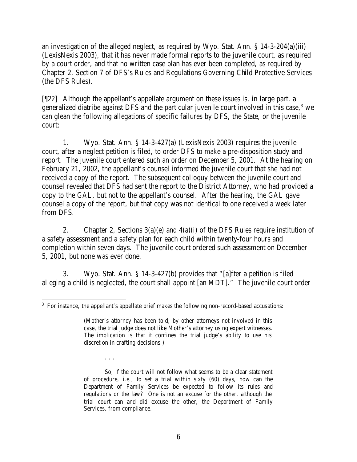an investigation of the alleged neglect, as required by Wyo. Stat. Ann. § 14-3-204(a)(iii) (LexisNexis 2003), that it has never made formal reports to the juvenile court, as required by a court order, and that no written case plan has ever been completed, as required by Chapter 2, Section 7 of DFS's Rules and Regulations Governing Child Protective Services (the DFS Rules).

[¶22] Although the appellant's appellate argument on these issues is, in large part, a generalized diatribe against DFS and the particular juvenile court involved in this case, $3$  we can glean the following allegations of specific failures by DFS, the State, or the juvenile court:

1. Wyo. Stat. Ann. § 14-3-427(a) (LexisNexis 2003) requires the juvenile court, after a neglect petition is filed, to order DFS to make a pre-disposition study and report. The juvenile court entered such an order on December 5, 2001. At the hearing on February 21, 2002, the appellant's counsel informed the juvenile court that she had not received a copy of the report. The subsequent colloquy between the juvenile court and counsel revealed that DFS had sent the report to the District Attorney, who had provided a copy to the GAL, but not to the appellant's counsel. After the hearing, the GAL gave counsel a copy of the report, but that copy was not identical to one received a week later from DFS.

2. Chapter 2, Sections  $3(a)(e)$  and  $4(a)(i)$  of the DFS Rules require institution of a safety assessment and a safety plan for each child within twenty-four hours and completion within seven days. The juvenile court ordered such assessment on December 5, 2001, but none was ever done.

3. Wyo. Stat. Ann. § 14-3-427(b) provides that "[a]fter a petition is filed alleging a child is neglected, the court shall appoint [an MDT]." The juvenile court order

. . .

 <sup>3</sup> For instance, the appellant's appellate brief makes the following non-record-based accusations:

<sup>(</sup>Mother's attorney has been told, by other attorneys not involved in this case, the trial judge does not like Mother's attorney using expert witnesses. The implication is that it confines the trial judge's ability to use his discretion in crafting decisions.)

So, if the court will not follow what seems to be a clear statement of procedure, i.e., to set a trial within sixty (60) days, how can the Department of Family Services be expected to follow its rules and regulations or the law? One is not an excuse for the other, although the trial court can and did excuse the other, the Department of Family Services, from compliance.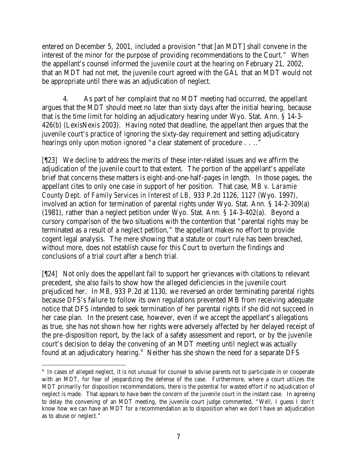entered on December 5, 2001, included a provision "that [an MDT] shall convene in the interest of the minor for the purpose of providing recommendations to the Court." When the appellant's counsel informed the juvenile court at the hearing on February 21, 2002, that an MDT had not met, the juvenile court agreed with the GAL that an MDT would not be appropriate until there was an adjudication of neglect.

4. As part of her complaint that no MDT meeting had occurred, the appellant argues that the MDT should meet no later than sixty days after the initial hearing, because that is the time limit for holding an adjudicatory hearing under Wyo. Stat. Ann. § 14-3- 426(b) (LexisNexis 2003). Having noted that deadline, the appellant then argues that the juvenile court's practice of ignoring the sixty-day requirement and setting adjudicatory hearings only upon motion ignored "a clear statement of procedure . . .."

[¶23] We decline to address the merits of these inter-related issues and we affirm the adjudication of the juvenile court to that extent. The portion of the appellant's appellate brief that concerns these matters is eight-and-one-half-pages in length. In those pages, the appellant cites to only one case in support of her position. That case, *MB v. Laramie County Dept. of Family Services in Interest of LB,* 933 P.2d 1126, 1127 (Wyo. 1997), involved an action for termination of parental rights under Wyo. Stat. Ann. § 14-2-309(a) (1981), rather than a neglect petition under Wyo. Stat. Ann. § 14-3-402(a). Beyond a cursory comparison of the two situations with the contention that "parental rights may be terminated as a result of a neglect petition," the appellant makes no effort to provide cogent legal analysis. The mere showing that a statute or court rule has been breached, without more, does not establish cause for this Court to overturn the findings and conclusions of a trial court after a bench trial.

[¶24] Not only does the appellant fail to support her grievances with citations to relevant precedent, she also fails to show how the alleged deficiencies in the juvenile court prejudiced her. In *MB*, 933 P.2d at 1130, we reversed an order terminating parental rights because DFS's failure to follow its own regulations prevented MB from receiving adequate notice that DFS intended to seek termination of her parental rights if she did not succeed in her case plan. In the present case, however, even if we accept the appellant's allegations as true, she has not shown how her rights were adversely affected by her delayed receipt of the pre-disposition report, by the lack of a safety assessment and report, or by the juvenile court's decision to delay the convening of an MDT meeting until neglect was actually found at an adjudicatory hearing.<sup>4</sup> Neither has she shown the need for a separate DFS

<sup>&</sup>lt;sup>4</sup> In cases of alleged neglect, it is not unusual for counsel to advise parents not to participate in or cooperate with an MDT, for fear of jeopardizing the defense of the case. Furthermore, where a court utilizes the MDT primarily for disposition recommendations, there is the potential for wasted effort if no adjudication of neglect is made. That appears to have been the concern of the juvenile court in the instant case. In agreeing to delay the convening of an MDT meeting, the juvenile court judge commented, "Well, I guess I don't know how we can have an MDT for a recommendation as to disposition when we don't have an adjudication as to abuse or neglect."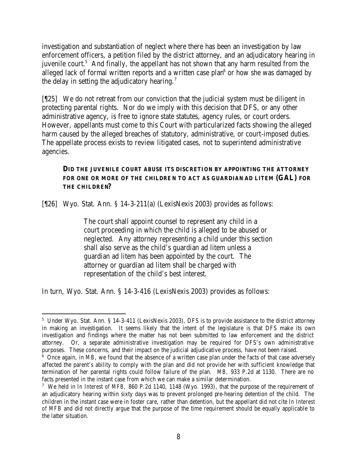investigation and substantiation of neglect where there has been an investigation by law enforcement officers, a petition filed by the district attorney, and an adjudicatory hearing in juvenile court.<sup>5</sup> And finally, the appellant has not shown that any harm resulted from the alleged lack of formal written reports and a written case plan $6$  or how she was damaged by the delay in setting the adjudicatory hearing.<sup>7</sup>

[¶25] We do not retreat from our conviction that the judicial system must be diligent in protecting parental rights. Nor do we imply with this decision that DFS, or any other administrative agency, is free to ignore state statutes, agency rules, or court orders. However, appellants must come to this Court with particularized facts showing the alleged harm caused by the alleged breaches of statutory, administrative, or court-imposed duties. The appellate process exists to review litigated cases, not to superintend administrative agencies.

## **DID THE JUVENILE COURT ABUSE ITS DISCRETION BY APPOINTING THE ATTORNEY FOR ONE OR MORE OF THE CHILDRE N TO ACT AS GUARDIAN AD LITEM (GAL) FOR THE CHILDREN?**

[¶26] Wyo. Stat. Ann. § 14-3-211(a) (LexisNexis 2003) provides as follows:

The court shall appoint counsel to represent any child in a court proceeding in which the child is alleged to be abused or neglected. Any attorney representing a child under this section shall also serve as the child's guardian ad litem unless a guardian ad litem has been appointed by the court. The attorney or guardian ad litem shall be charged with representation of the child's best interest.

In turn, Wyo. Stat. Ann. § 14-3-416 (LexisNexis 2003) provides as follows:

 <sup>5</sup> Under Wyo. Stat. Ann. § 14-3-411 (LexisNexis 2003), DFS is to provide assistance to the district attorney in making an investigation. It seems likely that the intent of the legislature is that DFS make its own investigation and findings where the matter has not been submitted to law enforcement and the district attorney. Or, a separate administrative investigation may be required for DFS's own administrative purposes. These concerns, and their impact on the judicial adjudicative process, have not been raised.

<sup>&</sup>lt;sup>6</sup> Once again, in *MB*, we found that the absence of a written case plan under the facts of that case adversely affected the parent's ability to comply with the plan and did not provide her with sufficient knowledge that termination of her parental rights could follow failure of the plan. *MB,* 933 P.2d at 1130. There are no facts presented in the instant case from which we can make a similar determination.

<sup>7</sup> We held in *In Interest of MFB,* 860 P.2d 1140, 1148 (Wyo. 1993), that the purpose of the requirement of an adjudicatory hearing within sixty days was to prevent prolonged pre-hearing detention of the child. The children in the instant case were in foster care, rather than detention, but the appellant did not cite *In Interest of MFB* and did not directly argue that the purpose of the time requirement should be equally applicable to the latter situation.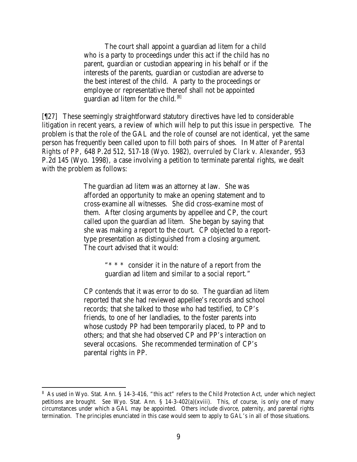The court shall appoint a guardian ad litem for a child who is a party to proceedings under this act if the child has no parent, guardian or custodian appearing in his behalf or if the interests of the parents, guardian or custodian are adverse to the best interest of the child. A party to the proceedings or employee or representative thereof shall not be appointed guardian ad litem for the child.  $|8|$ 

[¶27] These seemingly straightforward statutory directives have led to considerable litigation in recent years, a review of which will help to put this issue in perspective. The problem is that the role of the GAL and the role of counsel are not identical, yet the same person has frequently been called upon to fill both pairs of shoes. In *Matter of Parental Rights of PP,* 648 P.2d 512, 517-18 (Wyo. 1982), *overruled by Clark v. Alexander*, 953 P.2d 145 (Wyo. 1998), a case involving a petition to terminate parental rights, we dealt with the problem as follows:

> The guardian ad litem was an attorney at law. She was afforded an opportunity to make an opening statement and to cross-examine all witnesses. She did cross-examine most of them. After closing arguments by appellee and CP, the court called upon the guardian ad litem. She began by saying that she was making a report to the court. CP objected to a reporttype presentation as distinguished from a closing argument. The court advised that it would:

> > "\* \* \* consider it in the nature of a report from the guardian ad litem and similar to a social report."

CP contends that it was error to do so. The guardian ad litem reported that she had reviewed appellee's records and school records; that she talked to those who had testified, to CP's friends, to one of her landladies, to the foster parents into whose custody PP had been temporarily placed, to PP and to others; and that she had observed CP and PP's interaction on several occasions. She recommended termination of CP's parental rights in PP.

<sup>&</sup>lt;sup>8</sup> As used in Wyo. Stat. Ann. § 14-3-416, "this act" refers to the Child Protection Act, under which neglect petitions are brought. *See* Wyo. Stat. Ann. § 14-3-402(a)(xviii). This, of course, is only one of many circumstances under which a GAL may be appointed. Others include divorce, paternity, and parental rights termination. The principles enunciated in this case would seem to apply to GAL's in all of those situations.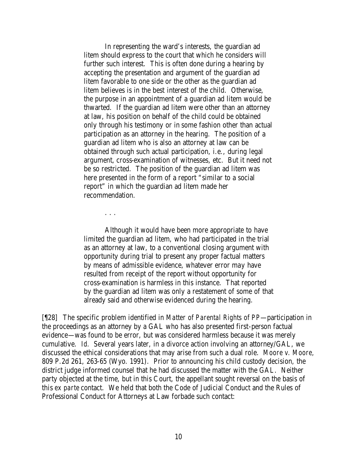In representing the ward's interests, the guardian ad litem should express to the court that which he considers will further such interest. This is often done during a hearing by accepting the presentation and argument of the guardian ad litem favorable to one side or the other as the guardian ad litem believes is in the best interest of the child. Otherwise, the purpose in an appointment of a guardian ad litem would be thwarted. If the guardian ad litem were other than an attorney at law, his position on behalf of the child could be obtained only through his testimony or in some fashion other than actual participation as an attorney in the hearing. The position of a guardian ad litem who is also an attorney at law can be obtained through such actual participation, i.e., during legal argument, cross-examination of witnesses, etc. But it need not be so restricted. The position of the guardian ad litem was here presented in the form of a report "similar to a social report" in which the guardian ad litem made her recommendation.

. . .

Although it would have been more appropriate to have limited the guardian ad litem, who had participated in the trial as an attorney at law, to a conventional closing argument with opportunity during trial to present any proper factual matters by means of admissible evidence, whatever error may have resulted from receipt of the report without opportunity for cross-examination is harmless in this instance. That reported by the guardian ad litem was only a restatement of some of that already said and otherwise evidenced during the hearing.

[¶28] The specific problem identified in *Matter of Parental Rights of PP*—participation in the proceedings as an attorney by a GAL who has also presented first-person factual evidence—was found to be error, but was considered harmless because it was merely cumulative. *Id.* Several years later, in a divorce action involving an attorney/GAL, we discussed the ethical considerations that may arise from such a dual role. *Moore v. Moore,*  809 P.2d 261, 263-65 (Wyo. 1991). Prior to announcing his child custody decision, the district judge informed counsel that he had discussed the matter with the GAL. Neither party objected at the time, but in this Court, the appellant sought reversal on the basis of this *ex parte* contact. We held that both the Code of Judicial Conduct and the Rules of Professional Conduct for Attorneys at Law forbade such contact: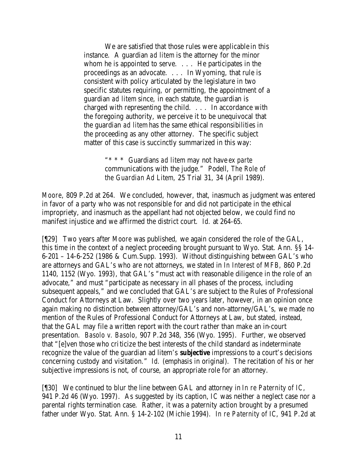We are satisfied that those rules were applicable in this instance. A guardian *ad litem* is the attorney for the minor whom he is appointed to serve. . . . He participates in the proceedings as an advocate. . . . In Wyoming, that rule is consistent with policy articulated by the legislature in two specific statutes requiring, or permitting, the appointment of a guardian *ad litem* since, in each statute, the guardian is charged with representing the child. . . . In accordance with the foregoing authority, we perceive it to be unequivocal that the guardian *ad litem* has the same ethical responsibilities in the proceeding as any other attorney. The specific subject matter of this case is succinctly summarized in this way:

> "\* \* \* Guardians *ad litem* may not have *ex parte* communications with the judge." Podell, *The Role of the Guardian Ad Litem,* 25 Trial 31, 34 (April 1989).

*Moore*, 809 P.2d at 264. We concluded, however, that, inasmuch as judgment was entered in favor of a party who was not responsible for and did not participate in the ethical impropriety, and inasmuch as the appellant had not objected below, we could find no manifest injustice and we affirmed the district court. *Id.* at 264-65.

[¶29] Two years after *Moore* was published, we again considered the role of the GAL, this time in the context of a neglect proceeding brought pursuant to Wyo. Stat. Ann. §§ 14- 6-201 – 14-6-252 (1986 & Cum.Supp. 1993). Without distinguishing between GAL's who are attorneys and GAL's who are not attorneys, we stated in *In Interest of MFB,* 860 P.2d 1140, 1152 (Wyo. 1993), that GAL's "must act with reasonable diligence in the role of an advocate," and must "participate as necessary in all phases of the process, including subsequent appeals," and we concluded that GAL's are subject to the Rules of Professional Conduct for Attorneys at Law. Slightly over two years later, however, in an opinion once again making no distinction between attorney/GAL's and non-attorney/GAL's, we made no mention of the Rules of Professional Conduct for Attorneys at Law, but stated, instead, that the GAL may file a written report with the court rather than make an in-court presentation. *Basolo v. Basolo,* 907 P.2d 348, 356 (Wyo. 1995). Further, we observed that "[e]ven those who criticize the best interests of the child standard as indeterminate recognize the value of the guardian ad litem's *subjective* impressions to a court's decisions concerning custody and visitation." *Id.* (emphasis in original). The recitation of his or her subjective impressions is not, of course, an appropriate role for an attorney.

[¶30] We continued to blur the line between GAL and attorney in *In re Paternity of IC,*  941 P.2d 46 (Wyo. 1997). As suggested by its caption, *IC* was neither a neglect case nor a parental rights termination case. Rather, it was a paternity action brought by a presumed father under Wyo. Stat. Ann. § 14-2-102 (Michie 1994). *In re Paternity of IC*, 941 P.2d at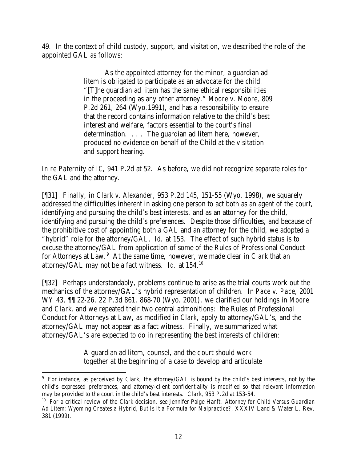49. In the context of child custody, support, and visitation, we described the role of the appointed GAL as follows:

> As the appointed attorney for the minor, a guardian ad litem is obligated to participate as an advocate for the child. "[T]he guardian ad litem has the same ethical responsibilities in the proceeding as any other attorney," *Moore v. Moore,* 809 P.2d 261, 264 (Wyo.1991), and has a responsibility to ensure that the record contains information relative to the child's best interest and welfare, factors essential to the court's final determination. . . . The guardian ad litem here, however, produced no evidence on behalf of the Child at the visitation and support hearing.

*In re Paternity of IC*, 941 P.2d at 52. As before, we did not recognize separate roles for the GAL and the attorney.

[¶31] Finally, in *Clark v. Alexander,* 953 P.2d 145, 151-55 (Wyo. 1998), we squarely addressed the difficulties inherent in asking one person to act both as an agent of the court, identifying and pursuing the child's best interests, and as an attorney for the child, identifying and pursuing the child's preferences. Despite those difficulties, and because of the prohibitive cost of appointing both a GAL and an attorney for the child, we adopted a "hybrid" role for the attorney/GAL. *Id.* at 153. The effect of such hybrid status is to excuse the attorney/GAL from application of some of the Rules of Professional Conduct for Attorneys at Law.<sup>9</sup> At the same time, however, we made clear in *Clark* that an attorney/GAL may not be a fact witness. *Id.* at 154.<sup>10</sup>

[¶32] Perhaps understandably, problems continue to arise as the trial courts work out the mechanics of the attorney/GAL's hybrid representation of children. In *Pace v. Pace,* 2001 WY 43, ¶¶ 22-26, 22 P.3d 861, 868-70 (Wyo. 2001), we clarified our holdings in *Moore* and *Clark*, and we repeated their two central admonitions: the Rules of Professional Conduct for Attorneys at Law, as modified in *Clark*, apply to attorney/GAL's, and the attorney/GAL may not appear as a fact witness. Finally, we summarized what attorney/GAL's are expected to do in representing the best interests of children:

> A guardian ad litem, counsel, and the court should work together at the beginning of a case to develop and articulate

<sup>9</sup> For instance, as perceived by *Clark,* the attorney/GAL is bound by the child's best interests, not by the child's expressed preferences, and attorney-client confidentiality is modified so that relevant information may be provided to the court in the child's best interests. *Clark*, 953 P.2d at 153-54.

<sup>10</sup> For a critical review of the *Clark* decision, *see* Jennifer Paige Hanft, *Attorney for Child Versus Guardian Ad Litem: Wyoming Creates a Hybrid, But Is It a Formula for Malpractice?,* XXXIV Land & Water L. Rev. 381 (1999).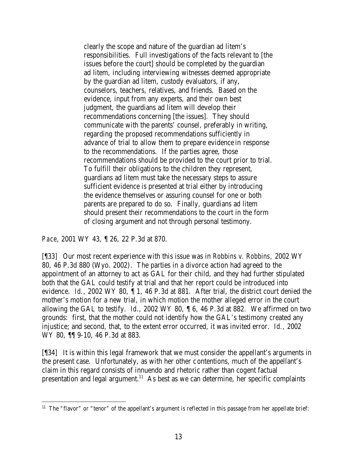clearly the scope and nature of the guardian ad litem's responsibilities. Full investigations of the facts relevant to [the issues before the court] should be completed by the guardian ad litem, including interviewing witnesses deemed appropriate by the guardian ad litem, custody evaluators, if any, counselors, teachers, relatives, and friends. Based on the evidence, input from any experts, and their own best judgment, the guardians ad litem will develop their recommendations concerning [the issues]. They should communicate with the parents' counsel, preferably in writing, regarding the proposed recommendations sufficiently in advance of trial to allow them to prepare evidence in response to the recommendations. If the parties agree, those recommendations should be provided to the court prior to trial. To fulfill their obligations to the children they represent, guardians ad litem must take the necessary steps to assure sufficient evidence is presented at trial either by introducing the evidence themselves or assuring counsel for one or both parents are prepared to do so. Finally, guardians ad litem should present their recommendations to the court in the form of closing argument and not through personal testimony.

*Pace*, 2001 WY 43, ¶ 26, 22 P.3d at 870.

[¶33] Our most recent experience with this issue was in *Robbins v. Robbins,* 2002 WY 80, 46 P.3d 880 (Wyo. 2002). The parties in a divorce action had agreed to the appointment of an attorney to act as GAL for their child, and they had further stipulated both that the GAL could testify at trial and that her report could be introduced into evidence. *Id.,* 2002 WY 80, ¶ 1, 46 P.3d at 881. After trial, the district court denied the mother's motion for a new trial, in which motion the mother alleged error in the court allowing the GAL to testify. *Id.*, 2002 WY 80, ¶ 6, 46 P.3d at 882. We affirmed on two grounds: first, that the mother could not identify how the GAL's testimony created any injustice; and second, that, to the extent error occurred, it was invited error. *Id.,* 2002 WY 80, ¶¶ 9-10, 46 P.3d at 883.

[¶34] It is within this legal framework that we must consider the appellant's arguments in the present case. Unfortunately, as with her other contentions, much of the appellant's claim in this regard consists of innuendo and rhetoric rather than cogent factual presentation and legal argument.<sup>11</sup> As best as we can determine, her specific complaints

 $11$  The "flavor" or "tenor" of the appellant's argument is reflected in this passage from her appellate brief: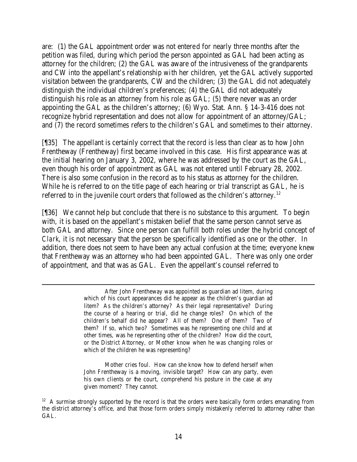are: (1) the GAL appointment order was not entered for nearly three months after the petition was filed, during which period the person appointed as GAL had been acting as attorney for the children; (2) the GAL was aware of the intrusiveness of the grandparents and CW into the appellant's relationship with her children, yet the GAL actively supported visitation between the grandparents, CW and the children; (3) the GAL did not adequately distinguish the individual children's preferences; (4) the GAL did not adequately distinguish his role as an attorney from his role as GAL; (5) there never was an order appointing the GAL as the children's attorney; (6) Wyo. Stat. Ann. § 14-3-416 does not recognize hybrid representation and does not allow for appointment of an attorney/GAL; and (7) the record sometimes refers to the children's GAL and sometimes to their attorney.

[¶35] The appellant is certainly correct that the record is less than clear as to how John Frentheway (Frentheway) first became involved in this case. His first appearance was at the initial hearing on January 3, 2002, where he was addressed by the court as the GAL, even though his order of appointment as GAL was not entered until February 28, 2002. There is also some confusion in the record as to his status as attorney for the children. While he is referred to on the title page of each hearing or trial transcript as GAL, he is referred to in the juvenile court orders that followed as the children's attorney.<sup>12</sup>

[¶36] We cannot help but conclude that there is no substance to this argument. To begin with, it is based on the appellant's mistaken belief that the same person cannot serve as both GAL and attorney. Since one person can fulfill both roles under the hybrid concept of *Clark*, it is not necessary that the person be specifically identified as one or the other. In addition, there does not seem to have been any actual confusion at the time; everyone knew that Frentheway was an attorney who had been appointed GAL. There was only one order of appointment, and that was as GAL. Even the appellant's counsel referred to

> After John Frentheway was appointed as guardian ad litem, during which of his court appearances did he appear as the children's guardian ad litem? As the children's attorney? As their legal representative? During the course of a hearing or trial, did he change roles? On which of the children's behalf did he appear? All of them? One of them? Two of them? If so, which two? Sometimes was he representing one child and at other times, was he representing other of the children? How did the court, or the District Attorney, or Mother know when he was changing roles or which of the children he was representing?

Mother cries foul. How can she know how to defend herself when John Frentheway is a moving, invisible target? How can any party, even his own clients or the court, comprehend his posture in the case at any given moment? They cannot.

 $12$  A surmise strongly supported by the record is that the orders were basically form orders emanating from the district attorney's office, and that those form orders simply mistakenly referred to attorney rather than GAL.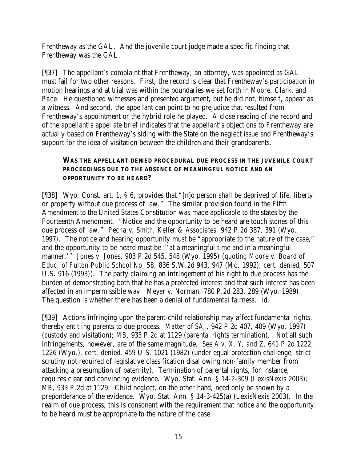Frentheway as the GAL. And the juvenile court judge made a specific finding that Frentheway was the GAL.

[¶37] The appellant's complaint that Frentheway, an attorney, was appointed as GAL must fail for two other reasons. First, the record is clear that Frentheway's participation in motion hearings and at trial was within the boundaries we set forth in *Moore, Clark,* and *Pace.* He questioned witnesses and presented argument, but he did not, himself, appear as a witness. And second, the appellant can point to no prejudice that resulted from Frentheway's appointment or the hybrid role he played. A close reading of the record and of the appellant's appellate brief indicates that the appellant's objections to Frentheway are actually based on Frentheway's siding with the State on the neglect issue and Frentheway's support for the idea of visitation between the children and their grandparents.

## **WAS THE APPELLANT DENIED PROCEDURAL DUE PROCESS IN THE JUVENILE COURT PROCEEDINGS DUE TO THE ABSENCE OF MEANINGFUL NOTICE AND AN OPPORTUNITY TO BE HEARD?**

[¶38] Wyo. Const. art. 1, § 6, provides that "[n]o person shall be deprived of life, liberty or property without due process of law." The similar provision found in the Fifth Amendment to the United States Constitution was made applicable to the states by the Fourteenth Amendment. "Notice and the opportunity to be heard are touch stones of this due process of law." *Pecha v. Smith, Keller & Associates,* 942 P.2d 387, 391 (Wyo. 1997). The notice and hearing opportunity must be "appropriate to the nature of the case," and the opportunity to be heard must be "'at a meaningful time and in a meaningful manner.'" *Jones v. Jones,* 903 P.2d 545, 548 (Wyo. 1995) (*quoting Moore v. Board of Educ. of Fulton Public School No. 58,* 836 S.W.2d 943, 947 (Mo. 1992), *cert. denied*, 507 U.S. 916 (1993)). The party claiming an infringement of his right to due process has the burden of demonstrating both that he has a protected interest and that such interest has been affected in an impermissible way. *Meyer v. Norman,* 780 P.2d 283, 289 (Wyo. 1989). The question is whether there has been a denial of fundamental fairness. *Id.*

[¶39] Actions infringing upon the parent-child relationship may affect fundamental rights, thereby entitling parents to due process. *Matter of SAJ,* 942 P.2d 407, 409 (Wyo. 1997) (custody and visitation); *MB,* 933 P.2d at 1129 (parental rights termination). Not all such infringements, however, are of the same magnitude. *See A v. X, Y, and Z,* 641 P.2d 1222, 1226 (Wyo.), *cert. denied*, 459 U.S. 1021 (1982) (under equal protection challenge, strict scrutiny not required of legislative classification disallowing non-family member from attacking a presumption of paternity). Termination of parental rights, for instance, requires clear and convincing evidence. Wyo. Stat. Ann. § 14-2-309 (LexisNexis 2003); *MB*, 933 P.2d at 1129. Child neglect, on the other hand, need only be shown by a preponderance of the evidence. Wyo. Stat. Ann. § 14-3-425(a) (LexisNexis 2003). In the realm of due process, this is consonant with the requirement that notice and the opportunity to be heard must be appropriate to the nature of the case.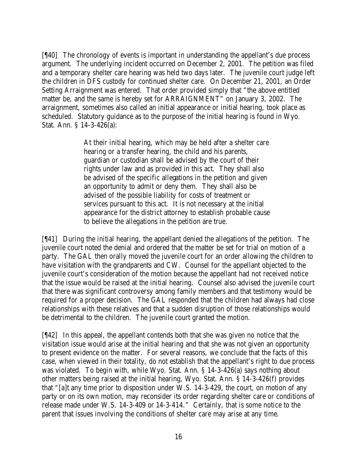[¶40] The chronology of events is important in understanding the appellant's due process argument. The underlying incident occurred on December 2, 2001. The petition was filed and a temporary shelter care hearing was held two days later. The juvenile court judge left the children in DFS custody for continued shelter care. On December 21, 2001, an Order Setting Arraignment was entered. That order provided simply that "the above entitled matter be, and the same is hereby set for ARRAIGNMENT" on January 3, 2002. The arraignment, sometimes also called an initial appearance or initial hearing, took place as scheduled. Statutory guidance as to the purpose of the initial hearing is found in Wyo. Stat. Ann. § 14-3-426(a):

> At their initial hearing, which may be held after a shelter care hearing or a transfer hearing, the child and his parents, guardian or custodian shall be advised by the court of their rights under law and as provided in this act. They shall also be advised of the specific allegations in the petition and given an opportunity to admit or deny them. They shall also be advised of the possible liability for costs of treatment or services pursuant to this act. It is not necessary at the initial appearance for the district attorney to establish probable cause to believe the allegations in the petition are true.

[¶41] During the initial hearing, the appellant denied the allegations of the petition. The juvenile court noted the denial and ordered that the matter be set for trial on motion of a party. The GAL then orally moved the juvenile court for an order allowing the children to have visitation with the grandparents and CW. Counsel for the appellant objected to the juvenile court's consideration of the motion because the appellant had not received notice that the issue would be raised at the initial hearing. Counsel also advised the juvenile court that there was significant controversy among family members and that testimony would be required for a proper decision. The GAL responded that the children had always had close relationships with these relatives and that a sudden disruption of those relationships would be detrimental to the children. The juvenile court granted the motion.

[¶42] In this appeal, the appellant contends both that she was given no notice that the visitation issue would arise at the initial hearing and that she was not given an opportunity to present evidence on the matter. For several reasons, we conclude that the facts of this case, when viewed in their totality, do not establish that the appellant's right to due process was violated. To begin with, while Wyo. Stat. Ann. § 14-3-426(a) says nothing about other matters being raised at the initial hearing, Wyo. Stat. Ann. § 14-3-426(f) provides that "[a]t any time prior to disposition under W.S. 14-3-429, the court, on motion of any party or on its own motion, may reconsider its order regarding shelter care or conditions of release made under W.S. 14-3-409 or 14-3-414." Certainly, that is some notice to the parent that issues involving the conditions of shelter care may arise at any time.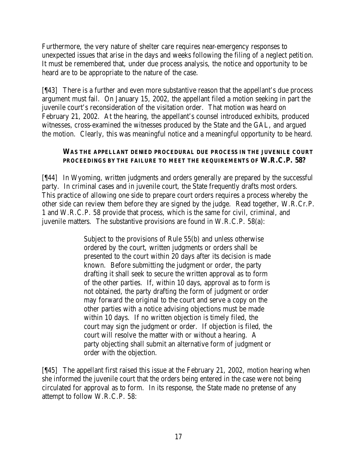Furthermore, the very nature of shelter care requires near-emergency responses to unexpected issues that arise in the days and weeks following the filing of a neglect petition. It must be remembered that, under due process analysis, the notice and opportunity to be heard are to be appropriate to the nature of the case.

[¶43] There is a further and even more substantive reason that the appellant's due process argument must fail. On January 15, 2002, the appellant filed a motion seeking in part the juvenile court's reconsideration of the visitation order. That motion was heard on February 21, 2002. At the hearing, the appellant's counsel introduced exhibits, produced witnesses, cross-examined the witnesses produced by the State and the GAL, and argued the motion. Clearly, this was meaningful notice and a meaningful opportunity to be heard.

### **WAS THE APPELLANT DENIED PROCEDURAL DUE PROCESS IN THE JUVENILE COURT PROCEEDINGS BY THE FAILURE TO MEET THE REQUIREMENTS OF W.R.C.P. 58?**

[¶44] In Wyoming, written judgments and orders generally are prepared by the successful party. In criminal cases and in juvenile court, the State frequently drafts most orders. This practice of allowing one side to prepare court orders requires a process whereby the other side can review them before they are signed by the judge. Read together, W.R.Cr.P. 1 and W.R.C.P. 58 provide that process, which is the same for civil, criminal, and juvenile matters. The substantive provisions are found in W.R.C.P. 58(a):

> Subject to the provisions of Rule 55(b) and unless otherwise ordered by the court, written judgments or orders shall be presented to the court within 20 days after its decision is made known. Before submitting the judgment or order, the party drafting it shall seek to secure the written approval as to form of the other parties. If, within 10 days, approval as to form is not obtained, the party drafting the form of judgment or order may forward the original to the court and serve a copy on the other parties with a notice advising objections must be made within 10 days. If no written objection is timely filed, the court may sign the judgment or order. If objection is filed, the court will resolve the matter with or without a hearing. A party objecting shall submit an alternative form of judgment or order with the objection.

[¶45] The appellant first raised this issue at the February 21, 2002, motion hearing when she informed the juvenile court that the orders being entered in the case were not being circulated for approval as to form. In its response, the State made no pretense of any attempt to follow W.R.C.P. 58: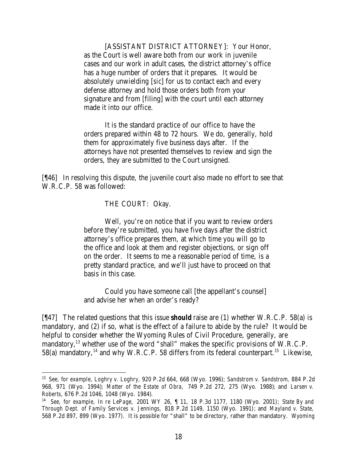[ASSISTANT DISTRICT ATTORNEY]: Your Honor, as the Court is well aware both from our work in juvenile cases and our work in adult cases, the district attorney's office has a huge number of orders that it prepares. It would be absolutely unwielding [*sic*] for us to contact each and every defense attorney and hold those orders both from your signature and from [filing] with the court until each attorney made it into our office.

It is the standard practice of our office to have the orders prepared within 48 to 72 hours. We do, generally, hold them for approximately five business days after. If the attorneys have not presented themselves to review and sign the orders, they are submitted to the Court unsigned.

[¶46] In resolving this dispute, the juvenile court also made no effort to see that W.R.C.P. 58 was followed:

THE COURT: Okay.

Well, you're on notice that if you want to review orders before they're submitted, you have five days after the district attorney's office prepares them, at which time you will go to the office and look at them and register objections, or sign off on the order. It seems to me a reasonable period of time, is a pretty standard practice, and we'll just have to proceed on that basis in this case.

Could you have someone call [the appellant's counsel] and advise her when an order's ready?

[¶47] The related questions that this issue *should* raise are (1) whether W.R.C.P. 58(a) is mandatory, and (2) if so, what is the effect of a failure to abide by the rule? It would be helpful to consider whether the Wyoming Rules of Civil Procedure, generally, are mandatory,<sup>13</sup> whether use of the word "shall" makes the specific provisions of W.R.C.P. 58(a) mandatory,<sup>14</sup> and why W.R.C.P. 58 differs from its federal counterpart.<sup>15</sup> Likewise,

<sup>13</sup> *See, for example, Loghry v. Loghry,* 920 P.2d 664, 668 (Wyo. 1996); *Sandstrom v. Sandstrom,* 884 P.2d 968, 971 (Wyo. 1994); *Matter of the Estate of Obra,* 749 P.2d 272, 275 (Wyo. 1988); and *Larsen v. Roberts,* 676 P.2d 1046, 1048 (Wyo. 1984).

<sup>14</sup> *See, for example, In re LePage,* 2001 WY 26, ¶ 11, 18 P.3d 1177, 1180 (Wyo. 2001); *State By and Through Dept. of Family Services v. Jennings,* 818 P.2d 1149, 1150 (Wyo. 1991); and *Mayland v. State,*  568 P.2d 897, 899 (Wyo. 1977). It is possible for "shall" to be directory, rather than mandatory. *Wyoming*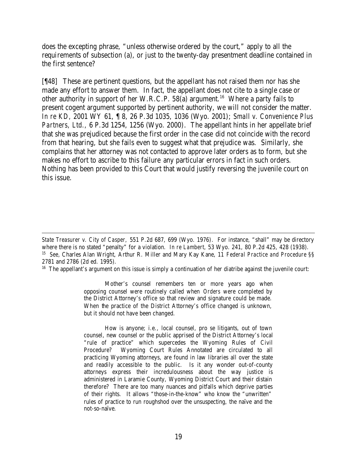does the excepting phrase, "unless otherwise ordered by the court," apply to all the requirements of subsection (a), or just to the twenty-day presentment deadline contained in the first sentence?

[¶48] These are pertinent questions, but the appellant has not raised them nor has she made any effort to answer them. In fact, the appellant does not cite to a single case or other authority in support of her W.R.C.P. 58(a) argument.<sup>16</sup> Where a party fails to present cogent argument supported by pertinent authority, we will not consider the matter. *In re KD,* 2001 WY 61, ¶ 8, 26 P.3d 1035, 1036 (Wyo. 2001); *Small v. Convenience Plus Partners, Ltd.,* 6 P.3d 1254, 1256 (Wyo. 2000). The appellant hints in her appellate brief that she was prejudiced because the first order in the case did not coincide with the record from that hearing, but she fails even to suggest what that prejudice was. Similarly, she complains that her attorney was not contacted to approve later orders as to form, but she makes no effort to ascribe to this failure any particular errors in fact in such orders. Nothing has been provided to this Court that would justify reversing the juvenile court on this issue.

<sup>16</sup> The appellant's argument on this issue is simply a continuation of her diatribe against the juvenile court:

Mother's counsel remembers ten or more years ago when opposing counsel were routinely called when *Orders* were completed by the District Attorney's office so that review and signature could be made. When the practice of the District Attorney's office changed is unknown, but it should not have been changed.

How is anyone; i.e., local counsel, pro se litigants, out of town counsel, new counsel or the public apprised of the District Attorney's local "rule of practice" which supercedes the Wyoming Rules of Civil Procedure? Wyoming Court Rules Annotated are circulated to all practicing Wyoming attorneys, are found in law libraries all over the state and readily accessible to the public. Is it any wonder out-of-county attorneys express their incredulousness about the way justice is administered in Laramie County, Wyoming District Court and their distain therefore? There are too many nuances and pitfalls which deprive parties of their rights. It allows "those-in-the-know" who know the "unwritten" rules of practice to run roughshod over the unsuspecting, the naïve and the not-so-naïve.

 *State Treasurer v. City of Casper,* 551 P.2d 687, 699 (Wyo. 1976). For instance, "shall" may be directory where there is no stated "penalty" for a violation. *In re Lambert,* 53 Wyo. 241, 80 P.2d 425, 428 (1938). 15 *See,* Charles Alan Wright, Arthur R. Miller and Mary Kay Kane, 11 *Federal Practice and Procedure* §§ 2781 and 2786 (2d ed. 1995).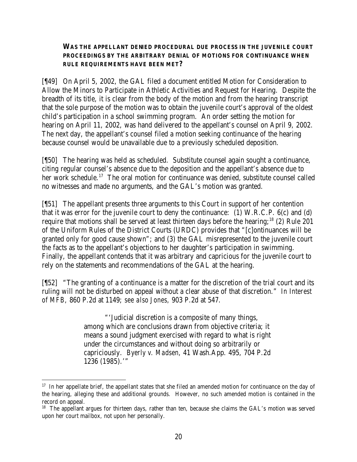### **WAS THE APPELLANT DENIED PROCEDURAL DUE PROCESS IN THE JUVENILE COURT PROCEEDINGS BY THE ARBITRARY DENIAL OF MOTIONS FOR CONTINUANCE WHEN RULE REQUIREMENTS HAVE BEEN MET?**

[¶49] On April 5, 2002, the GAL filed a document entitled Motion for Consideration to Allow the Minors to Participate in Athletic Activities and Request for Hearing. Despite the breadth of its title, it is clear from the body of the motion and from the hearing transcript that the sole purpose of the motion was to obtain the juvenile court's approval of the oldest child's participation in a school swimming program. An order setting the motion for hearing on April 11, 2002, was hand delivered to the appellant's counsel on April 9, 2002. The next day, the appellant's counsel filed a motion seeking continuance of the hearing because counsel would be unavailable due to a previously scheduled deposition.

[¶50] The hearing was held as scheduled. Substitute counsel again sought a continuance, citing regular counsel's absence due to the deposition and the appellant's absence due to her work schedule.<sup>17</sup> The oral motion for continuance was denied, substitute counsel called no witnesses and made no arguments, and the GAL's motion was granted.

[¶51] The appellant presents three arguments to this Court in support of her contention that it was error for the juvenile court to deny the continuance: (1) W.R.C.P. 6(c) and (d) require that motions shall be served at least thirteen days before the hearing;<sup>18</sup> (2) Rule 201 of the Uniform Rules of the District Courts (URDC) provides that "[c]ontinuances will be granted only for good cause shown"; and (3) the GAL misrepresented to the juvenile court the facts as to the appellant's objections to her daughter's participation in swimming. Finally, the appellant contends that it was arbitrary and capricious for the juvenile court to rely on the statements and recommendations of the GAL at the hearing.

[¶52] "The granting of a continuance is a matter for the discretion of the trial court and its ruling will not be disturbed on appeal without a clear abuse of that discretion." *In Interest of MFB,* 860 P.2d at 1149; *see also Jones,* 903 P.2d at 547.

> "'Judicial discretion is a composite of many things, among which are conclusions drawn from objective criteria; it means a sound judgment exercised with regard to what is right under the circumstances and without doing so arbitrarily or capriciously. *Byerly v. Madsen,* 41 Wash.App. 495, 704 P.2d 1236 (1985).'"

<sup>&</sup>lt;sup>17</sup> In her appellate brief, the appellant states that she filed an amended motion for continuance on the day of the hearing, alleging these and additional grounds. However, no such amended motion is contained in the record on appeal.

<sup>&</sup>lt;sup>18</sup> The appellant argues for thirteen days, rather than ten, because she claims the GAL's motion was served upon her court mailbox, not upon her personally.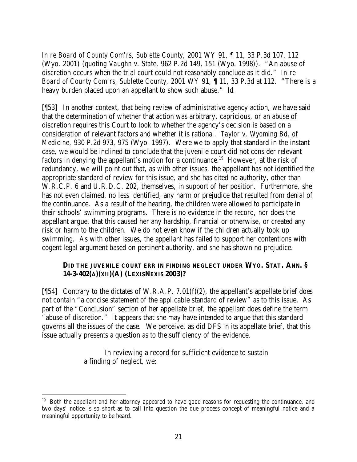*In re Board of County Com'rs, Sublette County,* 2001 WY 91, ¶ 11, 33 P.3d 107, 112 (Wyo. 2001) (*quoting Vaughn v. State,* 962 P.2d 149, 151 (Wyo. 1998)). "An abuse of discretion occurs when the trial court could not reasonably conclude as it did." *In re Board of County Com'rs, Sublette County,* 2001 WY 91, ¶ 11, 33 P.3d at 112*.* "There is a heavy burden placed upon an appellant to show such abuse." *Id.*

[¶53] In another context, that being review of administrative agency action, we have said that the determination of whether that action was arbitrary, capricious, or an abuse of discretion requires this Court to look to whether the agency's decision is based on a consideration of relevant factors and whether it is rational. *Taylor v. Wyoming Bd. of Medicine,* 930 P.2d 973, 975 (Wyo. 1997). Were we to apply that standard in the instant case, we would be inclined to conclude that the juvenile court did not consider relevant factors in denying the appellant's motion for a continuance.<sup>19</sup> However, at the risk of redundancy, we will point out that, as with other issues, the appellant has not identified the appropriate standard of review for this issue, and she has cited no authority, other than W.R.C.P. 6 and U.R.D.C. 202, themselves, in support of her position. Furthermore, she has not even claimed, no less identified, any harm or prejudice that resulted from denial of the continuance. As a result of the hearing, the children were allowed to participate in their schools' swimming programs. There is no evidence in the record, nor does the appellant argue, that this caused her any hardship, financial or otherwise, or created any risk or harm to the children. We do not even know if the children actually took up swimming. As with other issues, the appellant has failed to support her contentions with cogent legal argument based on pertinent authority, and she has shown no prejudice.

## **DID THE JUVENILE COURT ERR IN FINDING NEGLECT UNDER WYO. STAT. ANN. § 14-3-402(A)(XII)(A) (LEXISNEXIS 2003)?**

[ $[54]$  Contrary to the dictates of W.R.A.P. 7.01(f)(2), the appellant's appellate brief does not contain "a concise statement of the applicable standard of review" as to this issue. As part of the "Conclusion" section of her appellate brief, the appellant does define the term "abuse of discretion." It appears that she may have intended to argue that this standard governs all the issues of the case. We perceive, as did DFS in its appellate brief, that this issue actually presents a question as to the sufficiency of the evidence.

> In reviewing a record for sufficient evidence to sustain a finding of neglect, we:

<sup>&</sup>lt;sup>19</sup> Both the appellant and her attorney appeared to have good reasons for requesting the continuance, and two days' notice is so short as to call into question the due process concept of meaningful notice and a meaningful opportunity to be heard.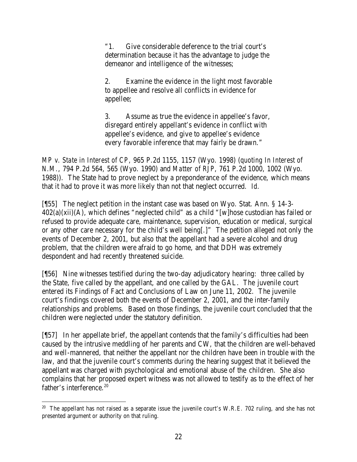"1. Give considerable deference to the trial court's determination because it has the advantage to judge the demeanor and intelligence of the witnesses;

2. Examine the evidence in the light most favorable to appellee and resolve all conflicts in evidence for appellee;

3. Assume as true the evidence in appellee's favor, disregard entirely appellant's evidence in conflict with appellee's evidence, and give to appellee's evidence every favorable inference that may fairly be drawn."

*MP v. State in Interest of CP,* 965 P.2d 1155, 1157 (Wyo. 1998) (*quoting In Interest of N.M.*, 794 P.2d 564, 565 (Wyo. 1990) and *Matter of RJP*, 761 P.2d 1000, 1002 (Wyo. 1988)). The State had to prove neglect by a preponderance of the evidence, which means that it had to prove it was more likely than not that neglect occurred. *Id.*

[¶55] The neglect petition in the instant case was based on Wyo. Stat. Ann. § 14-3-  $402(a)(xii)(A)$ , which defines "neglected child" as a child "[w]hose custodian has failed or refused to provide adequate care, maintenance, supervision, education or medical, surgical or any other care necessary for the child's well being[.]" The petition alleged not only the events of December 2, 2001, but also that the appellant had a severe alcohol and drug problem, that the children were afraid to go home, and that DDH was extremely despondent and had recently threatened suicide.

[¶56] Nine witnesses testified during the two-day adjudicatory hearing: three called by the State, five called by the appellant, and one called by the GAL. The juvenile court entered its Findings of Fact and Conclusions of Law on June 11, 2002. The juvenile court's findings covered both the events of December 2, 2001, and the inter-family relationships and problems. Based on those findings, the juvenile court concluded that the children were neglected under the statutory definition.

[¶57] In her appellate brief, the appellant contends that the family's difficulties had been caused by the intrusive meddling of her parents and CW, that the children are well-behaved and well-mannered, that neither the appellant nor the children have been in trouble with the law, and that the juvenile court's comments during the hearing suggest that it believed the appellant was charged with psychological and emotional abuse of the children. She also complains that her proposed expert witness was not allowed to testify as to the effect of her father's interference.<sup>20</sup>

 $20$  The appellant has not raised as a separate issue the juvenile court's W.R.E. 702 ruling, and she has not presented argument or authority on that ruling.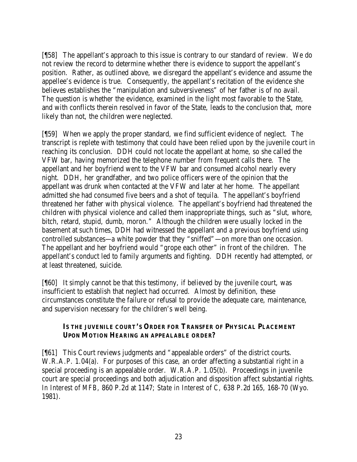[¶58] The appellant's approach to this issue is contrary to our standard of review. We do not review the record to determine whether there is evidence to support the appellant's position. Rather, as outlined above, we disregard the appellant's evidence and assume the appellee's evidence is true. Consequently, the appellant's recitation of the evidence she believes establishes the "manipulation and subversiveness" of her father is of no avail. The question is whether the evidence, examined in the light most favorable to the State, and with conflicts therein resolved in favor of the State, leads to the conclusion that, more likely than not, the children were neglected.

[¶59] When we apply the proper standard, we find sufficient evidence of neglect. The transcript is replete with testimony that could have been relied upon by the juvenile court in reaching its conclusion. DDH could not locate the appellant at home, so she called the VFW bar, having memorized the telephone number from frequent calls there. The appellant and her boyfriend went to the VFW bar and consumed alcohol nearly every night. DDH, her grandfather, and two police officers were of the opinion that the appellant was drunk when contacted at the VFW and later at her home. The appellant admitted she had consumed five beers and a shot of tequila. The appellant's boyfriend threatened her father with physical violence. The appellant's boyfriend had threatened the children with physical violence and called them inappropriate things, such as "slut, whore, bitch, retard, stupid, dumb, moron." Although the children were usually locked in the basement at such times, DDH had witnessed the appellant and a previous boyfriend using controlled substances—a white powder that they "sniffed"—on more than one occasion. The appellant and her boyfriend would "grope each other" in front of the children. The appellant's conduct led to family arguments and fighting. DDH recently had attempted, or at least threatened, suicide.

[¶60] It simply cannot be that this testimony, if believed by the juvenile court, was insufficient to establish that neglect had occurred. Almost by definition, these circumstances constitute the failure or refusal to provide the adequate care, maintenance, and supervision necessary for the children's well being.

## **IS THE JUVENILE COURT'S ORDER FOR TRANSFER OF PHYSICAL PLACEMENT UPON MOTION HEARING AN APPEALABLE ORDER?**

[¶61] This Court reviews judgments and "appealable orders" of the district courts. W.R.A.P. 1.04(a). For purposes of this case, an order affecting a substantial right in a special proceeding is an appealable order. W.R.A.P. 1.05(b). Proceedings in juvenile court are special proceedings and both adjudication and disposition affect substantial rights. *In Interest of MFB,* 860 P.2d at 1147; *State in Interest of C,* 638 P.2d 165, 168-70 (Wyo. 1981).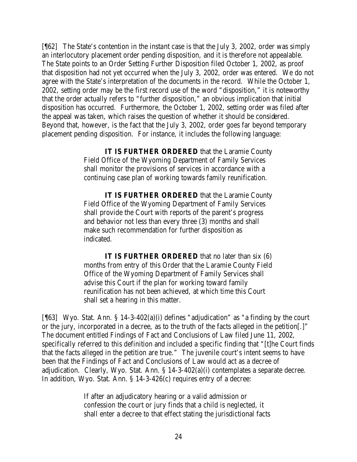[¶62] The State's contention in the instant case is that the July 3, 2002, order was simply an interlocutory placement order pending disposition, and it is therefore not appealable. The State points to an Order Setting Further Disposition filed October 1, 2002, as proof that disposition had not yet occurred when the July 3, 2002, order was entered. We do not agree with the State's interpretation of the documents in the record. While the October 1, 2002, setting order may be the first record use of the word "disposition," it is noteworthy that the order actually refers to "further disposition," an obvious implication that initial disposition has occurred. Furthermore, the October 1, 2002, setting order was filed after the appeal was taken, which raises the question of whether it should be considered. Beyond that, however, is the fact that the July 3, 2002, order goes far beyond temporary placement pending disposition. For instance, it includes the following language:

> **IT IS FURTHER ORDERED** that the Laramie County Field Office of the Wyoming Department of Family Services shall monitor the provisions of services in accordance with a continuing case plan of working towards family reunification.

> **IT IS FURTHER ORDERED** that the Laramie County Field Office of the Wyoming Department of Family Services shall provide the Court with reports of the parent's progress and behavior not less than every three (3) months and shall make such recommendation for further disposition as indicated.

> **IT IS FURTHER ORDERED** that no later than six (6) months from entry of this Order that the Laramie County Field Office of the Wyoming Department of Family Services shall advise this Court if the plan for working toward family reunification has not been achieved, at which time this Court shall set a hearing in this matter.

[¶63] Wyo. Stat. Ann. § 14-3-402(a)(i) defines "adjudication" as "a finding by the court or the jury, incorporated in a decree, as to the truth of the facts alleged in the petition[.]" The document entitled Findings of Fact and Conclusions of Law filed June 11, 2002, specifically referred to this definition and included a specific finding that "[t]he Court finds that the facts alleged in the petition are true." The juvenile court's intent seems to have been that the Findings of Fact and Conclusions of Law would act as a decree of adjudication. Clearly, Wyo. Stat. Ann. § 14-3-402(a)(i) contemplates a separate decree. In addition, Wyo. Stat. Ann. § 14-3-426(c) requires entry of a decree:

> If after an adjudicatory hearing or a valid admission or confession the court or jury finds that a child is neglected, it shall enter a decree to that effect stating the jurisdictional facts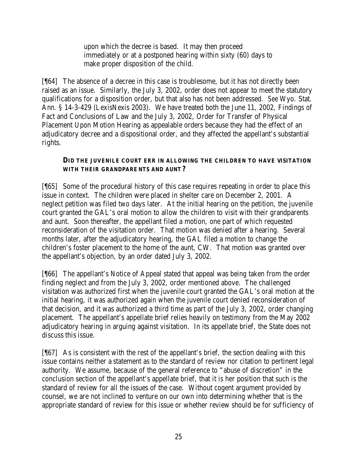upon which the decree is based. It may then proceed immediately or at a postponed hearing within sixty (60) days to make proper disposition of the child.

[¶64] The absence of a decree in this case is troublesome, but it has not directly been raised as an issue. Similarly, the July 3, 2002, order does not appear to meet the statutory qualifications for a disposition order, but that also has not been addressed. *See* Wyo. Stat. Ann. § 14-3-429 (LexisNexis 2003). We have treated both the June 11, 2002, Findings of Fact and Conclusions of Law and the July 3, 2002, Order for Transfer of Physical Placement Upon Motion Hearing as appealable orders because they had the effect of an adjudicatory decree and a dispositional order, and they affected the appellant's substantial rights.

## **DID THE JUVENILE COURT ERR IN ALLOWING THE CHILDREN TO HAVE VISITATION WITH THEIR GRANDPARE NTS AND AUNT?**

[¶65] Some of the procedural history of this case requires repeating in order to place this issue in context. The children were placed in shelter care on December 2, 2001. A neglect petition was filed two days later. At the initial hearing on the petition, the juvenile court granted the GAL's oral motion to allow the children to visit with their grandparents and aunt. Soon thereafter, the appellant filed a motion, one part of which requested reconsideration of the visitation order. That motion was denied after a hearing. Several months later, after the adjudicatory hearing, the GAL filed a motion to change the children's foster placement to the home of the aunt, CW. That motion was granted over the appellant's objection, by an order dated July 3, 2002.

[¶66] The appellant's Notice of Appeal stated that appeal was being taken from the order finding neglect and from the July 3, 2002, order mentioned above. The challenged visitation was authorized first when the juvenile court granted the GAL's oral motion at the initial hearing, it was authorized again when the juvenile court denied reconsideration of that decision, and it was authorized a third time as part of the July 3, 2002, order changing placement. The appellant's appellate brief relies heavily on testimony from the May 2002 adjudicatory hearing in arguing against visitation. In its appellate brief, the State does not discuss this issue.

[¶67] As is consistent with the rest of the appellant's brief, the section dealing with this issue contains neither a statement as to the standard of review nor citation to pertinent legal authority. We assume, because of the general reference to "abuse of discretion" in the conclusion section of the appellant's appellate brief, that it is her position that such is the standard of review for all the issues of the case. Without cogent argument provided by counsel, we are not inclined to venture on our own into determining whether that is the appropriate standard of review for this issue or whether review should be for sufficiency of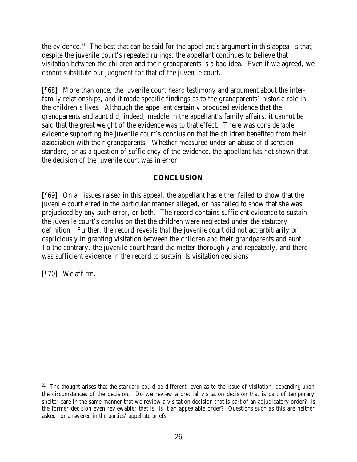the evidence.<sup>21</sup> The best that can be said for the appellant's argument in this appeal is that, despite the juvenile court's repeated rulings, the appellant continues to believe that visitation between the children and their grandparents is a bad idea. Even if we agreed, we cannot substitute our judgment for that of the juvenile court.

[¶68] More than once, the juvenile court heard testimony and argument about the interfamily relationships, and it made specific findings as to the grandparents' historic role in the children's lives. Although the appellant certainly produced evidence that the grandparents and aunt did, indeed, meddle in the appellant's family affairs, it cannot be said that the great weight of the evidence was to that effect. There was considerable evidence supporting the juvenile court's conclusion that the children benefited from their association with their grandparents. Whether measured under an abuse of discretion standard, or as a question of sufficiency of the evidence, the appellant has not shown that the decision of the juvenile court was in error.

## **CONCLUSION**

[¶69] On all issues raised in this appeal, the appellant has either failed to show that the juvenile court erred in the particular manner alleged, or has failed to show that she was prejudiced by any such error, or both. The record contains sufficient evidence to sustain the juvenile court's conclusion that the children were neglected under the statutory definition. Further, the record reveals that the juvenile court did not act arbitrarily or capriciously in granting visitation between the children and their grandparents and aunt. To the contrary, the juvenile court heard the matter thoroughly and repeatedly, and there was sufficient evidence in the record to sustain its visitation decisions.

[¶70] We affirm.

  $21$  The thought arises that the standard could be different, even as to the issue of visitation, depending upon the circumstances of the decision. Do we review a pretrial visitation decision that is part of temporary shelter care in the same manner that we review a visitation decision that is part of an adjudicatory order? Is the former decision even reviewable; that is, is it an appealable order? Questions such as this are neither asked nor answered in the parties' appellate briefs.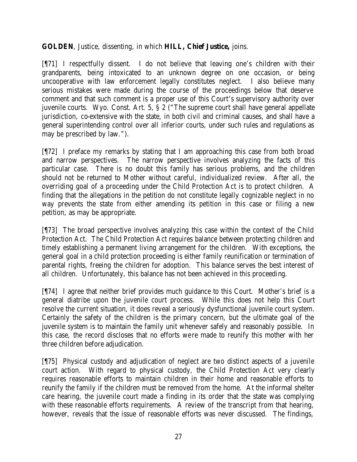**GOLDEN**, Justice, dissenting, in which **HILL, Chief Justice,** joins.

[¶71] I respectfully dissent. I do not believe that leaving one's children with their grandparents, being intoxicated to an unknown degree on one occasion, or being uncooperative with law enforcement legally constitutes neglect. I also believe many serious mistakes were made during the course of the proceedings below that deserve comment and that such comment is a proper use of this Court's supervisory authority over juvenile courts. Wyo. Const. Art. 5, § 2 ("The supreme court shall have general appellate jurisdiction, co-extensive with the state, in both civil and criminal causes, and shall have a general superintending control over all inferior courts, under such rules and regulations as may be prescribed by law.").

[¶72] I preface my remarks by stating that I am approaching this case from both broad and narrow perspectives. The narrow perspective involves analyzing the facts of this particular case. There is no doubt this family has serious problems, and the children should not be returned to Mother without careful, individualized review. After all, the overriding goal of a proceeding under the Child Protection Act is to protect children. A finding that the allegations in the petition do not constitute legally cognizable neglect in no way prevents the state from either amending its petition in this case or filing a new petition, as may be appropriate.

[¶73] The broad perspective involves analyzing this case within the context of the Child Protection Act. The Child Protection Act requires balance between protecting children and timely establishing a permanent living arrangement for the children. With exceptions, the general goal in a child protection proceeding is either family reunification or termination of parental rights, freeing the children for adoption. This balance serves the best interest of all children. Unfortunately, this balance has not been achieved in this proceeding.

[¶74] I agree that neither brief provides much guidance to this Court. Mother's brief is a general diatribe upon the juvenile court process. While this does not help this Court resolve the current situation, it does reveal a seriously dysfunctional juvenile court system. Certainly the safety of the children is the primary concern, but the ultimate goal of the juvenile system is to maintain the family unit whenever safely and reasonably possible. In this case, the record discloses that no efforts were made to reunify this mother with her three children before adjudication.

[¶75] Physical custody and adjudication of neglect are two distinct aspects of a juvenile court action. With regard to physical custody, the Child Protection Act very clearly requires reasonable efforts to maintain children in their home and reasonable efforts to reunify the family if the children must be removed from the home. At the informal shelter care hearing, the juvenile court made a finding in its order that the state was complying with these reasonable efforts requirements. A review of the transcript from that hearing, however, reveals that the issue of reasonable efforts was never discussed. The findings,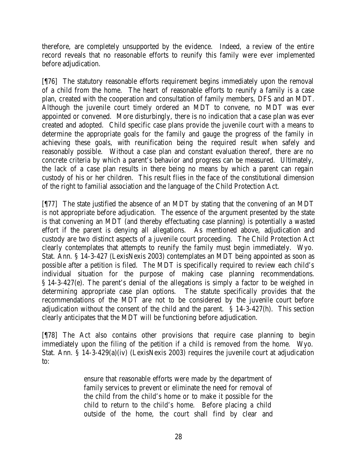therefore, are completely unsupported by the evidence. Indeed, a review of the entire record reveals that no reasonable efforts to reunify this family were ever implemented before adjudication.

[¶76] The statutory reasonable efforts requirement begins immediately upon the removal of a child from the home. The heart of reasonable efforts to reunify a family is a case plan, created with the cooperation and consultation of family members, DFS and an MDT. Although the juvenile court timely ordered an MDT to convene, no MDT was ever appointed or convened. More disturbingly, there is no indication that a case plan was ever created and adopted. Child specific case plans provide the juvenile court with a means to determine the appropriate goals for the family and gauge the progress of the family in achieving these goals, with reunification being the required result when safely and reasonably possible. Without a case plan and constant evaluation thereof, there are no concrete criteria by which a parent's behavior and progress can be measured. Ultimately, the lack of a case plan results in there being no means by which a parent can regain custody of his or her children. This result flies in the face of the constitutional dimension of the right to familial association and the language of the Child Protection Act.

[¶77] The state justified the absence of an MDT by stating that the convening of an MDT is not appropriate before adjudication. The essence of the argument presented by the state is that convening an MDT (and thereby effectuating case planning) is potentially a wasted effort if the parent is denying all allegations. As mentioned above, adjudication and custody are two distinct aspects of a juvenile court proceeding. The Child Protection Act clearly contemplates that attempts to reunify the family must begin immediately. Wyo. Stat. Ann. § 14-3-427 (LexisNexis 2003) contemplates an MDT being appointed as soon as possible after a petition is filed. The MDT is specifically required to review each child's individual situation for the purpose of making case planning recommendations. § 14-3-427(e). The parent's denial of the allegations is simply a factor to be weighed in determining appropriate case plan options. The statute specifically provides that the recommendations of the MDT are not to be considered by the juvenile court before adjudication without the consent of the child and the parent. § 14-3-427(h). This section clearly anticipates that the MDT will be functioning before adjudication.

[¶78] The Act also contains other provisions that require case planning to begin immediately upon the filing of the petition if a child is removed from the home. Wyo. Stat. Ann. § 14-3-429(a)(iv) (LexisNexis 2003) requires the juvenile court at adjudication to:

> ensure that reasonable efforts were made by the department of family services to prevent or eliminate the need for removal of the child from the child's home or to make it possible for the child to return to the child's home. Before placing a child outside of the home, the court shall find by clear and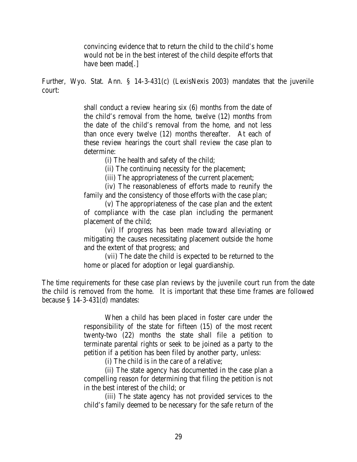convincing evidence that to return the child to the child's home would not be in the best interest of the child despite efforts that have been made[.]

Further, Wyo. Stat. Ann. § 14-3-431(c) (LexisNexis 2003) mandates that the juvenile court:

> shall conduct a review hearing six (6) months from the date of the child's removal from the home, twelve (12) months from the date of the child's removal from the home, and not less than once every twelve (12) months thereafter. At each of these review hearings the court shall review the case plan to determine:

> > (i) The health and safety of the child;

(ii) The continuing necessity for the placement;

(iii) The appropriateness of the current placement;

(iv) The reasonableness of efforts made to reunify the family and the consistency of those efforts with the case plan;

(v) The appropriateness of the case plan and the extent of compliance with the case plan including the permanent placement of the child;

(vi) If progress has been made toward alleviating or mitigating the causes necessitating placement outside the home and the extent of that progress; and

(vii) The date the child is expected to be returned to the home or placed for adoption or legal guardianship.

The time requirements for these case plan reviews by the juvenile court run from the date the child is removed from the home. It is important that these time frames are followed because § 14-3-431(d) mandates:

> When a child has been placed in foster care under the responsibility of the state for fifteen (15) of the most recent twenty-two (22) months the state shall file a petition to terminate parental rights or seek to be joined as a party to the petition if a petition has been filed by another party, unless:

> > (i) The child is in the care of a relative;

(ii) The state agency has documented in the case plan a compelling reason for determining that filing the petition is not in the best interest of the child; or

(iii) The state agency has not provided services to the child's family deemed to be necessary for the safe return of the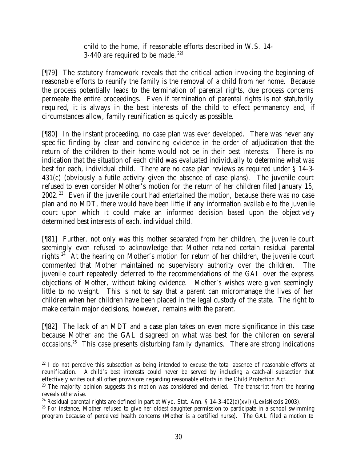child to the home, if reasonable efforts described in W.S. 14- 3-440 are required to be made.<sup>[22]</sup>

[¶79] The statutory framework reveals that the critical action invoking the beginning of reasonable efforts to reunify the family is the removal of a child from her home. Because the process potentially leads to the termination of parental rights, due process concerns permeate the entire proceedings. Even if termination of parental rights is not statutorily required, it is always in the best intere sts of the child to effect permanency and, if circumstances allow, family reunification as quickly as possible.

[¶80] In the instant proceeding, no case plan was ever developed. There was never any specific finding by clear and convincing evidence in the order of adjudication that the return of the children to their home would not be in their best interests. There is no indication that the situation of each child was evaluated individually to determine what was best for each, individual child. There are no case plan reviews as required under § 14-3- 431(c) (obviously a futile activity given the absence of case plans). The juvenile court refused to even consider Mother's motion for the return of her children filed January 15,  $2002$ . <sup>23</sup> Even if the juvenile court had entertained the motion, because there was no case plan and no MDT, there would have been little if any information available to the juvenile court upon which it could make an informed decision based upon the objectively determined best interests of each, individual child.

[¶81] Further, not only was this mother separated from her children, the juvenile court seemingly even refused to acknowledge that Mother retained certain residual parental rights.<sup>24</sup> At the hearing on Mother's motion for return of her children, the juvenile court commented that Mother maintained no supervisory authority over the children. The juvenile court repeatedly deferred to the recommendations of the GAL over the express objections of Mother, without taking evidence. Mother's wishes were given seemingly little to no weight. This is not to say that a parent can micromanage the lives of her children when her children have been placed in the legal custody of the state. The right to make certain major decisions, however, remains with the parent.

[¶82] The lack of an MDT and a case plan takes on even more significance in this case because Mother and the GAL disagreed on what was best for the children on several occasions.<sup>25</sup> This case presents disturbing family dynamics. There are strong indications

<sup>&</sup>lt;sup>22</sup> I do not perceive this subsection as being intended to excuse the total absence of reasonable efforts at reunification. A child's best interests could never be served by including a catch-all subsection that effectively writes out all other provisions regarding reasonable efforts in the Child Protection Act.

<sup>&</sup>lt;sup>23</sup> The majority opinion suggests this motion was considered and denied. The transcript from the hearing reveals otherwise.

<sup>&</sup>lt;sup>24</sup> Residual parental rights are defined in part at Wyo. Stat. Ann. § 14-3-402(a)(xvi) (LexisNexis 2003).

<sup>&</sup>lt;sup>25</sup> For instance, Mother refused to give her oldest daughter permission to participate in a school swimming program because of perceived health concerns (Mother is a certified nurse). The GAL filed a motion to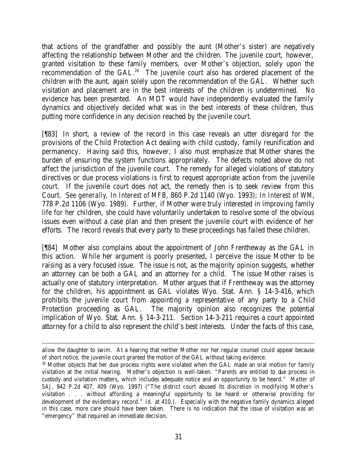that actions of the grandfather and possibly the aunt (Mother's sister) are negatively affecting the relationship between Mother and the children. The juvenile court, however, granted visitation to these family members, over Mother's objection, solely upon the recommendation of the GAL.<sup>26</sup> The juvenile court also has ordered placement of the children with the aunt, again solely upon the recommendation of the GAL. Whether such visitation and placement are in the best interests of the children is undetermined. No evidence has been presented. An MDT would have independently evaluated the family dynamics and objectively decided what was in the best interests of these children, thus putting more confidence in any decision reached by the juvenile court.

[¶83] In short, a review of the record in this case reveals an utter disregard for the provisions of the Child Protection Act dealing with child custody, family reunification and permanency. Having said this, however, I also must emphasize that Mother shares the burden of ensuring the system functions appropriately. The defects noted above do not affect the jurisdiction of the juvenile court. The remedy for alleged violations of statutory directives or due process violations is first to request appropriate action from the juvenile court. If the juvenile court does not act, the remedy then is to seek review from this Court. *See generally*, *In Interest of MFB*, 860 P.2d 1140 (Wyo. 1993); *In Interest of WM*, 778 P.2d 1106 (Wyo. 1989). Further, if Mother were truly interested in improving family life for her children, she could have voluntarily undertaken to resolve some of the obvious issues even without a case plan and then present the juvenile court with evidence of her efforts. The record reveals that every party to these proceedings has failed these children.

[¶84] Mother also complains about the appointment of John Frentheway as the GAL in this action. While her argument is poorly presented, I perceive the issue Mother to be raising as a very focused issue. The issue is not, as the majority opinion suggests, whether an attorney can be both a GAL and an attorney for a child. The issue Mother raises is actually one of statutory interpretation. Mother argues that if Frentheway was the attorney for the children, his appointment as GAL violates Wyo. Stat. Ann. § 14-3-416, which prohibits the juvenile court from appointing a representative of any party to a Child Protection proceeding as GAL. The majority opinion also recognizes the potential implication of Wyo. Stat. Ann. § 14-3-211. Section 14-3-211 requires a court appointed attorney for a child to also represent the child's best interests. Under the facts of this case,

allow the daughter to swim. At a hearing that neither Mother nor her regular counsel could appear because of short notice, the juvenile court granted the motion of the GAL without taking evidence.

<sup>&</sup>lt;sup>26</sup> Mother objects that her due process rights were violated when the GAL made an oral motion for family visitation at the initial hearing. Mother's objection is well-taken. "Parents are entitled to due process in custody and visitation matters, which includes adequate notice and an opportunity to be heard." *Matter of SAJ*, 942 P.2d 407, 409 (Wyo. 1997) ("The district court abused its discretion in modifying Mother's visitation . . . without affording a meaningful opportunity to be heard or otherwise providing for development of the evidentiary record." *Id.* at 410.). Especially with the negative family dynamics alleged in this case, more care should have been taken. There is no indication that the issue of visitation was an "emergency" that required an immediate decision.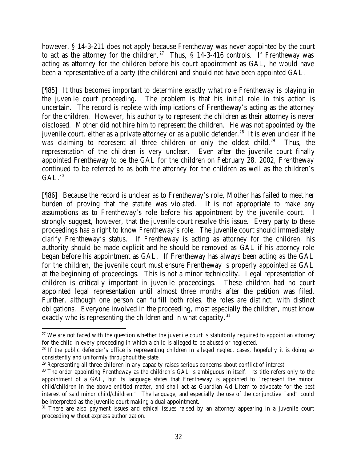however, § 14-3-211 does not apply because Frentheway was never appointed by the court to act as the attorney for the children.<sup>27</sup> Thus,  $\S$  14-3-416 controls. If Frentheway was acting as attorney for the children before his court appointment as GAL, he would have been a representative of a party (the children) and should not have been appointed GAL.

[¶85] It thus becomes important to determine exactly what role Frentheway is playing in the juvenile court proceeding. The problem is that his initial role in this action is uncertain. The record is replete with implications of Frentheway's acting as the attorney for the children. However, his authority to represent the children as their attorney is never disclosed. Mother did not hire him to represent the children. He was not appointed by the juvenile court, either as a private attorney or as a public defender.<sup>28</sup> It is even unclear if he was claiming to represent all three children or only the oldest child.<sup>29</sup> Thus, the representation of the children is very unclear. Even after the juvenile court finally appointed Frentheway to be the GAL for the children on February 28, 2002, Frentheway continued to be referred to as both the attorney for the children as well as the children's  $\rm GAL.^{30}$ 

[¶86] Because the record is unclear as to Frentheway's role, Mother has failed to meet her burden of proving that the statute was violated. It is not appropriate to make any assumptions as to Frentheway's role before his appointment by the juvenile court. I strongly suggest, however, that the juvenile court resolve this issue. Every party to these proceedings has a right to know Frentheway's role. The juvenile court should immediately clarify Frentheway's status. If Frentheway is acting as attorney for the children, his authority should be made explicit and he should be removed as GAL if his attorney role began before his appointment as GAL. If Frentheway has always been acting as the GAL for the children, the juvenile court must ensure Frentheway is properly appointed as GAL at the beginning of proceedings. This is not a minor technicality. Legal representation of children is critically important in juvenile proceedings. These children had no court appointed legal representation until almost three months after the petition was filed. Further, although one person can fulfill both roles, the roles are distinct, with distinct obligations. Everyone involved in the proceeding, most especially the children, must know exactly who is representing the children and in what capacity. $31$ 

<sup>&</sup>lt;sup>27</sup> We are not faced with the question whether the juvenile court is statutorily required to appoint an attorney for the child in every proceeding in which a child is alleged to be abused or neglected.

<sup>&</sup>lt;sup>28</sup> If the public defender's office is representing children in alleged neglect cases, hopefully it is doing so consistently and uniformly throughout the state.

 $29$  Representing all three children in any capacity raises serious concerns about conflict of interest.

<sup>&</sup>lt;sup>30</sup> The order appointing Frentheway as the children's GAL is ambiguous in itself. Its title refers only to the appointment of a GAL, but its language states that Frentheway is appointed to "represent the minor child/children in the above entitled matter, and shall act as Guardian Ad Litem to advocate for the best interest of said minor child/children." The language, and especially the use of the conjunctive "and" could be interpreted as the juvenile court making a dual appointment.

<sup>&</sup>lt;sup>31</sup> There are also payment issues and ethical issues raised by an attorney appearing in a juvenile court proceeding without express authorization.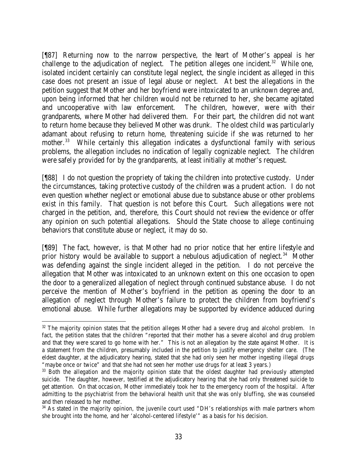[¶87] Returning now to the narrow perspective, the heart of Mother's appeal is her challenge to the adjudication of neglect. The petition alleges one incident.<sup>32</sup> While one, isolated incident certainly can constitute legal neglect, the single incident as alleged in this case does not present an issue of legal abuse or neglect. At best the allegations in the petition suggest that Mother and her boyfriend were intoxicated to an unknown degree and, upon being informed that her children would not be returned to her, she became agitated and uncooperative with law enforcement. The children, however, were with their grandparents, where Mother had delivered them. For their part, the children did not want to return home because they believed Mother was drunk. The oldest child was particularly adamant about refusing to return home, threatening suicide if she was returned to her mother.<sup>33</sup> While certainly this allegation indicates a dysfunctional family with serious problems, the allegation includes no indication of legally cognizable neglect. The children were safely provided for by the grandparents, at least initially at mother's request.

[¶88] I do not question the propriety of taking the children into protective custody. Under the circumstances, taking protective custody of the children was a prudent action. I do not even question whether neglect or emotional abuse due to substance abuse or other problems exist in this family. That question is not before this Court. Such allegations were not charged in the petition, and, therefore, this Court should not review the evidence or offer any opinion on such potential allegations. Should the State choose to allege continuing behaviors that constitute abuse or neglect, it may do so.

[¶89] The fact, however, is that Mother had no prior notice that her entire lifestyle and prior history would be available to support a nebulous adjudication of neglect.<sup>34</sup> Mother was defending against the single incident alleged in the petition. I do not perceive the allegation that Mother was intoxicated to an unknown extent on this one occasion to open the door to a generalized allegation of neglect through continued substance abuse. I do not perceive the mention of Mother's boyfriend in the petition as opening the door to an allegation of neglect through Mother's failure to protect the children from boyfriend's emotional abuse. While further allegations may be supported by evidence adduced during

 <sup>32</sup> The majority opinion states that the petition alleges Mother had a severe drug and alcohol problem. In fact, the petition states that the children "reported that their mother has a severe alcohol and drug problem and that they were scared to go home with her." This is not an allegation by the state against Mother. It is a statement from the children, presumably included in the petition to justify emergency shelter care. (The eldest daughter, at the adjudicatory hearing, stated that she had only seen her mother ingesting illegal drugs "maybe once or twice" and that she had not seen her mother use drugs for at least 3 years.)

<sup>&</sup>lt;sup>33</sup> Both the allegation and the majority opinion state that the oldest daughter had previously attempted suicide. The daughter, however, testified at the adjudicatory hearing that she had only threatened suicide to get attention. On that occasion, Mother immediately took her to the emergency room of the hospital. After admitting to the psychiatrist from the behavioral health unit that she was only bluffing, she was counseled and then released to her mother.

<sup>&</sup>lt;sup>34</sup> As stated in the majority opinion, the juvenile court used "DH's relationships with male partners whom she brought into the home, and her 'alcohol-centered lifestyle'" as a basis for his decision.